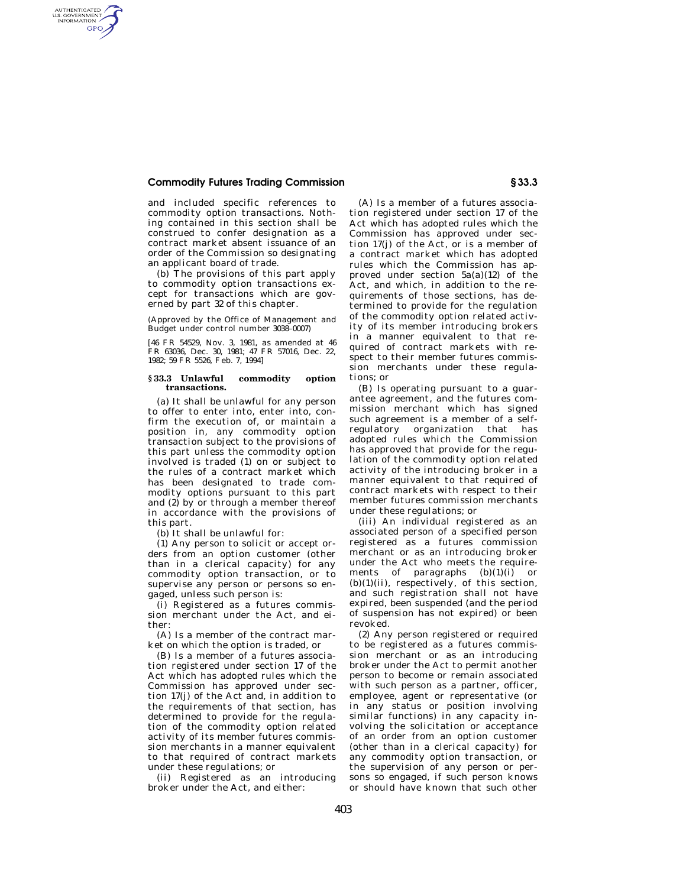## **Commodity Futures Trading Commission § 33.3**

AUTHENTICATED<br>U.S. GOVERNMENT<br>INFORMATION GPO

> and included specific references to commodity option transactions. Nothing contained in this section shall be construed to confer designation as a contract market absent issuance of an order of the Commission so designating an applicant board of trade.

> (b) The provisions of this part apply to commodity option transactions except for transactions which are governed by part 32 of this chapter.

> (Approved by the Office of Management and Budget under control number 3038–0007)

[46 FR 54529, Nov. 3, 1981, as amended at 46 FR 63036, Dec. 30, 1981; 47 FR 57016, Dec. 22, 1982; 59 FR 5526, Feb. 7, 1994]

## **§ 33.3 Unlawful commodity option transactions.**

(a) It shall be unlawful for any person to offer to enter into, enter into, confirm the execution of, or maintain a position in, any commodity option transaction subject to the provisions of this part unless the commodity option involved is traded (1) on or subject to the rules of a contract market which has been designated to trade commodity options pursuant to this part and (2) by or through a member thereof in accordance with the provisions of this part.

(b) It shall be unlawful for:

(1) Any person to solicit or accept orders from an option customer (other than in a clerical capacity) for any commodity option transaction, or to supervise any person or persons so engaged, unless such person is:

(i) Registered as a futures commission merchant under the Act, and either:

(A) Is a member of the contract market on which the option is traded, or

(B) Is a member of a futures association registered under section 17 of the Act which has adopted rules which the Commission has approved under section 17(j) of the Act and, in addition to the requirements of that section, has determined to provide for the regulation of the commodity option related activity of its member futures commission merchants in a manner equivalent to that required of contract markets under these regulations; or

(ii) Registered as an introducing broker under the Act, and either:

(A) Is a member of a futures association registered under section 17 of the Act which has adopted rules which the Commission has approved under section 17(j) of the Act, or is a member of a contract market which has adopted rules which the Commission has approved under section 5a(a)(12) of the Act, and which, in addition to the requirements of those sections, has determined to provide for the regulation of the commodity option related activity of its member introducing brokers in a manner equivalent to that required of contract markets with respect to their member futures commission merchants under these regulations; or

(B) Is operating pursuant to a guarantee agreement, and the futures commission merchant which has signed such agreement is a member of a selfregulatory organization that has adopted rules which the Commission has approved that provide for the regulation of the commodity option related activity of the introducing broker in a manner equivalent to that required of contract markets with respect to their member futures commission merchants under these regulations; or

(iii) An individual registered as an associated person of a specified person registered as a futures commission merchant or as an introducing broker under the Act who meets the requirements of paragraphs  $(b)(1)(i)$  or  $(b)(1)(ii)$ , respectively, of this section, and such registration shall not have expired, been suspended (and the period of suspension has not expired) or been revoked.

(2) Any person registered or required to be registered as a futures commission merchant or as an introducing broker under the Act to permit another person to become or remain associated with such person as a partner, officer, employee, agent or representative (or in any status or position involving similar functions) in any capacity involving the solicitation or acceptance of an order from an option customer (other than in a clerical capacity) for any commodity option transaction, or the supervision of any person or persons so engaged, if such person knows or should have known that such other